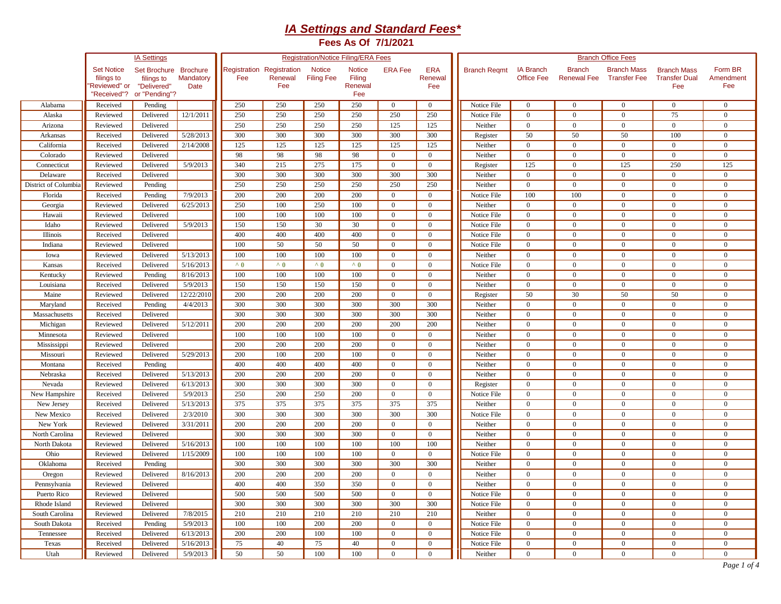## *IA Settings and Standard Fees\**

**Fees As Of 7/1/2021**

|                      |                                                                | <b>IA Settings</b>                                                  |                   |                                  |                |                                    | <b>Registration/Notice Filing/ERA Fees</b> |                |                              | <b>Branch Office Fees</b> |                                       |                                     |                                           |                                                   |                             |  |  |  |
|----------------------|----------------------------------------------------------------|---------------------------------------------------------------------|-------------------|----------------------------------|----------------|------------------------------------|--------------------------------------------|----------------|------------------------------|---------------------------|---------------------------------------|-------------------------------------|-------------------------------------------|---------------------------------------------------|-----------------------------|--|--|--|
|                      | <b>Set Notice</b><br>filings to<br>Reviewed" or<br>'Received"? | Set Brochure Brochure<br>filings to<br>"Delivered"<br>or "Pending"? | Mandatory<br>Date | Registration Registration<br>Fee | Renewal<br>Fee | <b>Notice</b><br><b>Filing Fee</b> | <b>Notice</b><br>Filing<br>Renewal<br>Fee  | <b>ERA Fee</b> | <b>ERA</b><br>Renewal<br>Fee | <b>Branch Regmt</b>       | <b>IA Branch</b><br><b>Office Fee</b> | <b>Branch</b><br><b>Renewal Fee</b> | <b>Branch Mass</b><br><b>Transfer Fee</b> | <b>Branch Mass</b><br><b>Transfer Dual</b><br>Fee | Form BR<br>Amendment<br>Fee |  |  |  |
| Alabama              | Received                                                       | Pending                                                             |                   | 250                              | 250            | 250                                | 250                                        | $\mathbf{0}$   | $\mathbf{0}$                 | Notice File               | $\mathbf{0}$                          | $\overline{0}$                      | $\mathbf{0}$                              | $\overline{0}$                                    | $\mathbf{0}$                |  |  |  |
| Alaska               | Reviewed                                                       | Delivered                                                           | 12/1/2011         | 250                              | 250            | 250                                | 250                                        | 250            | 250                          | Notice File               | $\overline{0}$                        | $\overline{0}$                      | $\mathbf{0}$                              | 75                                                | $\theta$                    |  |  |  |
| Arizona              | Reviewed                                                       | Delivered                                                           |                   | 250                              | 250            | 250                                | 250                                        | 125            | 125                          | Neither                   | $\mathbf{0}$                          | $\overline{0}$                      | $\mathbf{0}$                              | $\overline{0}$                                    | $\theta$                    |  |  |  |
| Arkansas             | Received                                                       | Delivered                                                           | 5/28/2013         | 300                              | 300            | 300                                | 300                                        | 300            | 300                          | Register                  | 50                                    | 50                                  | 50                                        | 100                                               | $\mathbf{0}$                |  |  |  |
| California           | Received                                                       | Delivered                                                           | 2/14/2008         | 125                              | 125            | 125                                | 125                                        | 125            | 125                          | Neither                   | $\mathbf{0}$                          | $\overline{0}$                      | $\mathbf{0}$                              | $\mathbf{0}$                                      | $\mathbf{0}$                |  |  |  |
| Colorado             | Reviewed                                                       | Delivered                                                           |                   | 98                               | 98             | 98                                 | 98                                         | $\mathbf{0}$   | $\mathbf{0}$                 | Neither                   | $\mathbf{0}$                          | $\overline{0}$                      | $\mathbf{0}$                              | $\mathbf{0}$                                      | $\mathbf{0}$                |  |  |  |
| Connecticut          | Reviewed                                                       | Delivered                                                           | 5/9/2013          | 340                              | 215            | 275                                | 175                                        | $\overline{0}$ | $\mathbf{0}$                 | Register                  | 125                                   | $\overline{0}$                      | 125                                       | 250                                               | 125                         |  |  |  |
| Delaware             | Received                                                       | Delivered                                                           |                   | 300                              | 300            | 300                                | 300                                        | 300            | 300                          | Neither                   | $\mathbf{0}$                          | $\overline{0}$                      | $\overline{0}$                            | $\overline{0}$                                    | $\mathbf{0}$                |  |  |  |
| District of Columbia | Reviewed                                                       | Pending                                                             |                   | 250                              | 250            | 250                                | 250                                        | 250            | 250                          | Neither                   | $\mathbf{0}$                          | $\overline{0}$                      | $\overline{0}$                            | $\mathbf{0}$                                      | $\mathbf{0}$                |  |  |  |
| Florida              | Received                                                       | Pending                                                             | 7/9/2013          | 200                              | 200            | 200                                | 200                                        | $\mathbf{0}$   | $\mathbf{0}$                 | Notice File               | 100                                   | 100                                 | $\mathbf{0}$                              | $\mathbf{0}$                                      | $\mathbf{0}$                |  |  |  |
| Georgia              | Reviewed                                                       | Delivered                                                           | 6/25/2013         | 250                              | 100            | 250                                | 100                                        | $\Omega$       | $\mathbf{0}$                 | Neither                   | $\mathbf{0}$                          | $\overline{0}$                      | $\mathbf{0}$                              | $\mathbf{0}$                                      | $\mathbf{0}$                |  |  |  |
| Hawaii               | Reviewed                                                       | Delivered                                                           |                   | 100                              | 100            | 100                                | 100                                        | $\Omega$       | $\mathbf{0}$                 | Notice File               | $\mathbf{0}$                          | $\overline{0}$                      | $\overline{0}$                            | $\overline{0}$                                    | $\mathbf{0}$                |  |  |  |
| Idaho                | Reviewed                                                       | Delivered                                                           | 5/9/2013          | 150                              | 150            | 30                                 | 30                                         | $\Omega$       | $\Omega$                     | Notice File               | $\mathbf{0}$                          | $\mathbf{0}$                        | $\overline{0}$                            | $\mathbf{0}$                                      | $\Omega$                    |  |  |  |
| Illinois             | Received                                                       | Delivered                                                           |                   | 400                              | 400            | 400                                | 400                                        | $\Omega$       | $\Omega$                     | Notice File               | $\overline{0}$                        | $\mathbf{0}$                        | $\overline{0}$                            | $\overline{0}$                                    | $\Omega$                    |  |  |  |
| Indiana              | Reviewed                                                       | Delivered                                                           |                   | 100                              | 50             | 50                                 | 50                                         | $\Omega$       | $\theta$                     | Notice File               | $\mathbf{0}$                          | $\overline{0}$                      | $\mathbf{0}$                              | $\overline{0}$                                    | $\Omega$                    |  |  |  |
| Iowa                 | Reviewed                                                       | Delivered                                                           | 5/13/2013         | 100                              | 100            | 100                                | 100                                        | $\theta$       | $\theta$                     | Neither                   | $\overline{0}$                        | $\overline{0}$                      | $\mathbf{0}$                              | $\theta$                                          | $\Omega$                    |  |  |  |
| Kansas               | Received                                                       | Delivered                                                           | 5/16/2013         | $^{\wedge}$ 0                    | $^{\wedge}$ 0  | $^{\wedge}$ 0                      | $^{\wedge}$ 0                              | $\Omega$       | $\mathbf{0}$                 | Notice File               | $\mathbf{0}$                          | $\overline{0}$                      | $\mathbf{0}$                              | $\overline{0}$                                    | $\Omega$                    |  |  |  |
| Kentucky             | Reviewed                                                       | Pending                                                             | 8/16/2013         | 100                              | 100            | 100                                | 100                                        | $\mathbf{0}$   | $\mathbf{0}$                 | Neither                   | $\mathbf{0}$                          | $\overline{0}$                      | $\mathbf{0}$                              | $\mathbf{0}$                                      | $\mathbf{0}$                |  |  |  |
| Louisiana            | Received                                                       | Delivered                                                           | 5/9/2013          | 150                              | 150            | 150                                | 150                                        | $\theta$       | $\mathbf{0}$                 | Neither                   | $\mathbf{0}$                          | $\mathbf{0}$                        | $\mathbf{0}$                              | $\mathbf{0}$                                      | $\mathbf{0}$                |  |  |  |
| Maine                | Reviewed                                                       | Delivered                                                           | 12/22/2010        | 200                              | 200            | 200                                | 200                                        | $\overline{0}$ | $\mathbf{0}$                 | Register                  | 50                                    | 30                                  | 50                                        | 50                                                | $\mathbf{0}$                |  |  |  |
| Maryland             | Received                                                       | Pending                                                             | 4/4/2013          | 300                              | 300            | 300                                | 300                                        | 300            | 300                          | Neither                   | $\mathbf{0}$                          | $\mathbf{0}$                        | $\mathbf{0}$                              | $\mathbf{0}$                                      | $\mathbf{0}$                |  |  |  |
| Massachusetts        | Received                                                       | Delivered                                                           |                   | 300                              | 300            | 300                                | 300                                        | 300            | 300                          | Neither                   | $\overline{0}$                        | $\overline{0}$                      | $\mathbf{0}$                              | $\mathbf{0}$                                      | $\mathbf{0}$                |  |  |  |
| Michigan             | Reviewed                                                       | Delivered                                                           | 5/12/2011         | 200                              | 200            | 200                                | 200                                        | 200            | 200                          | Neither                   | $\overline{0}$                        | $\overline{0}$                      | $\overline{0}$                            | $\overline{0}$                                    | $\mathbf{0}$                |  |  |  |
| Minnesota            | Reviewed                                                       | Delivered                                                           |                   | 100                              | 100            | 100                                | 100                                        | $\overline{0}$ | $\theta$                     | Neither                   | $\overline{0}$                        | $\mathbf{0}$                        | $\overline{0}$                            | $\overline{0}$                                    | $\mathbf{0}$                |  |  |  |
| Mississippi          | Reviewed                                                       | Delivered                                                           |                   | 200                              | 200            | 200                                | 200                                        | $\theta$       | $\overline{0}$               | Neither                   | $\overline{0}$                        | $\overline{0}$                      | $\mathbf{0}$                              | $\mathbf{0}$                                      | $\mathbf{0}$                |  |  |  |
| Missouri             | Reviewed                                                       | Delivered                                                           | 5/29/2013         | 200                              | 100            | 200                                | 100                                        | $\mathbf{0}$   | $\mathbf{0}$                 | Neither                   | $\mathbf{0}$                          | $\overline{0}$                      | $\mathbf{0}$                              | $\mathbf{0}$                                      | $\mathbf{0}$                |  |  |  |
| Montana              | Received                                                       | Pending                                                             |                   | 400                              | 400            | 400                                | 400                                        | $\mathbf{0}$   | $\mathbf{0}$                 | Neither                   | $\overline{0}$                        | $\overline{0}$                      | $\mathbf{0}$                              | $\mathbf{0}$                                      | $\mathbf{0}$                |  |  |  |
| Nebraska             | Received                                                       | Delivered                                                           | 5/13/2013         | 200                              | 200            | 200                                | 200                                        | $\overline{0}$ | $\mathbf{0}$                 | Neither                   | $\mathbf{0}$                          | $\overline{0}$                      | $\overline{0}$                            | $\overline{0}$                                    | $\mathbf{0}$                |  |  |  |
| Nevada               | Reviewed                                                       | Delivered                                                           | 6/13/2013         | 300                              | 300            | 300                                | 300                                        | $\mathbf{0}$   | $\mathbf{0}$                 | Register                  | $\mathbf{0}$                          | $\overline{0}$                      | $\mathbf{0}$                              | $\mathbf{0}$                                      | $\mathbf{0}$                |  |  |  |
| New Hampshire        | Received                                                       | Delivered                                                           | 5/9/2013          | 250                              | 200            | 250                                | 200                                        | $\mathbf{0}$   | $\mathbf{0}$                 | Notice File               | $\overline{0}$                        | $\overline{0}$                      | $\mathbf{0}$                              | $\mathbf{0}$                                      | $\mathbf{0}$                |  |  |  |
| New Jersey           | Received                                                       | Delivered                                                           | 5/13/2013         | 375                              | 375            | 375                                | 375                                        | 375            | 375                          | Neither                   | $\mathbf{0}$                          | $\overline{0}$                      | $\mathbf{0}$                              | $\mathbf{0}$                                      | $\mathbf{0}$                |  |  |  |
| New Mexico           | Received                                                       | Delivered                                                           | 2/3/2010          | 300                              | 300            | 300                                | 300                                        | 300            | 300                          | Notice File               | $\mathbf{0}$                          | $\overline{0}$                      | $\mathbf{0}$                              | $\boldsymbol{0}$                                  | $\Omega$                    |  |  |  |
| New York             | Reviewed                                                       | Delivered                                                           | 3/31/2011         | 200                              | 200            | 200                                | 200                                        | $\Omega$       | $\theta$                     | Neither                   | $\Omega$                              | $\mathbf{0}$                        | $\theta$                                  | $\mathbf{0}$                                      | $\Omega$                    |  |  |  |
| North Carolina       | Reviewed                                                       | Delivered                                                           |                   | 300                              | 300            | 300                                | 300                                        | $\Omega$       | $\theta$                     | Neither                   | $\overline{0}$                        | $\overline{0}$                      | $\overline{0}$                            | $\mathbf{0}$                                      | $\theta$                    |  |  |  |
| North Dakota         | Reviewed                                                       | Delivered                                                           | 5/16/2013         | 100                              | 100            | 100                                | 100                                        | 100            | 100                          | Neither                   | $\overline{0}$                        | $\overline{0}$                      | $\mathbf{0}$                              | $\overline{0}$                                    | $\Omega$                    |  |  |  |
| Ohio                 | Reviewed                                                       | Delivered                                                           | 1/15/2009         | 100                              | 100            | 100                                | 100                                        | $\Omega$       | $\theta$                     | Notice File               | $\mathbf{0}$                          | $\mathbf{0}$                        | $\theta$                                  | $\overline{0}$                                    | $\theta$                    |  |  |  |
| Oklahoma             | Received                                                       | Pending                                                             |                   | 300                              | 300            | 300                                | 300                                        | 300            | 300                          | Neither                   | $\mathbf{0}$                          | $\overline{0}$                      | $\overline{0}$                            | $\mathbf{0}$                                      | $\theta$                    |  |  |  |
|                      |                                                                | Delivered                                                           | 8/16/2013         | 200                              | 200            | 200                                | 200                                        | $\overline{0}$ | $\mathbf{0}$                 | Neither                   | $\mathbf{0}$                          | $\overline{0}$                      | $\mathbf{0}$                              | $\mathbf{0}$                                      | $\mathbf{0}$                |  |  |  |
| Oregon               | Reviewed<br>Reviewed                                           | Delivered                                                           |                   | 400                              | 400            | 350                                | 350                                        | $\mathbf{0}$   | $\mathbf{0}$                 | Neither                   | $\overline{0}$                        | $\mathbf{0}$                        | $\overline{0}$                            | $\mathbf{0}$                                      | $\mathbf{0}$                |  |  |  |
| Pennsylvania         |                                                                |                                                                     |                   |                                  |                |                                    |                                            |                |                              |                           |                                       |                                     |                                           |                                                   |                             |  |  |  |
| Puerto Rico          | Reviewed                                                       | Delivered                                                           |                   | 500                              | 500            | 500                                | 500                                        | $\mathbf{0}$   | $\mathbf{0}$                 | Notice File               | $\mathbf{0}$                          | $\mathbf{0}$                        | $\mathbf{0}$                              | $\mathbf{0}$                                      | $\mathbf{0}$                |  |  |  |
| Rhode Island         | Reviewed                                                       | Delivered                                                           |                   | 300                              | 300            | 300                                | 300                                        | 300            | 300                          | Notice File               | $\mathbf{0}$                          | $\mathbf{0}$                        | $\mathbf{0}$                              | $\mathbf{0}$                                      | $\mathbf{0}$                |  |  |  |
| South Carolina       | Reviewed                                                       | Delivered                                                           | 7/8/2015          | 210                              | 210            | 210                                | 210                                        | 210            | 210                          | Neither                   | $\mathbf{0}$                          | $\mathbf{0}$                        | $\overline{0}$                            | $\overline{0}$                                    | $\mathbf{0}$                |  |  |  |
| South Dakota         | Received                                                       | Pending                                                             | 5/9/2013          | 100                              | 100            | 200                                | 200                                        | $\Omega$       | $\Omega$                     | Notice File               | $\mathbf{0}$                          | $\mathbf{0}$                        | $\mathbf{0}$                              | $\mathbf{0}$                                      | $\Omega$                    |  |  |  |
| Tennessee            | Received                                                       | Delivered                                                           | 6/13/2013         | 200                              | 200            | 100                                | 100                                        | $\Omega$       | $\mathbf{0}$                 | Notice File               | $\overline{0}$                        | $\overline{0}$                      | $\overline{0}$                            | $\overline{0}$                                    | $\mathbf{0}$<br>$\Omega$    |  |  |  |
| Texas                | Received                                                       | Delivered                                                           | 5/16/2013         | 75                               | 40             | 75                                 | 40                                         | $\Omega$       | $\Omega$                     | Notice File               | $\mathbf{0}$                          | $\overline{0}$                      | $\mathbf{0}$                              | $\mathbf{0}$                                      |                             |  |  |  |
| Utah                 | Reviewed                                                       | Delivered                                                           | 5/9/2013          | 50                               | 50             | 100                                | 100                                        | $\overline{0}$ | $\mathbf{0}$                 | Neither                   | $\mathbf{0}$                          | $\overline{0}$                      | $\overline{0}$                            | $\overline{0}$                                    | $\Omega$                    |  |  |  |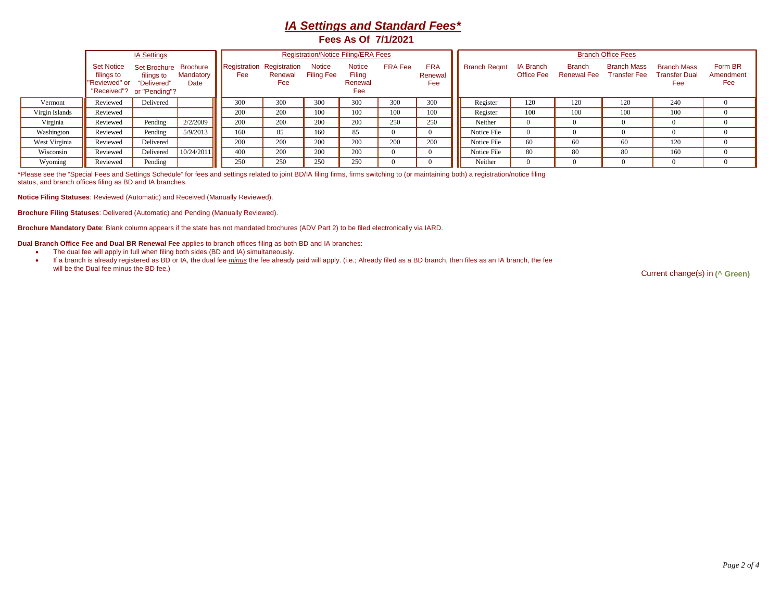## *IA Settings and Standard Fees\** **Fees As Of 7/1/2021**

|                |                                                                               | <b>IA Settings</b>                                 |                   |                                  |                | <b>Registration/Notice Filing/ERA Fees</b> |                                           |                |                              | <b>Branch Office Fees</b> |                                |                                     |                                           |                                                   |                             |  |  |  |
|----------------|-------------------------------------------------------------------------------|----------------------------------------------------|-------------------|----------------------------------|----------------|--------------------------------------------|-------------------------------------------|----------------|------------------------------|---------------------------|--------------------------------|-------------------------------------|-------------------------------------------|---------------------------------------------------|-----------------------------|--|--|--|
|                | <b>Set Notice</b><br>filings to<br>"Reviewed" or<br>"Received"? or "Pending"? | Set Brochure Brochure<br>filings to<br>"Delivered" | Mandatory<br>Date | Registration Registration<br>Fee | Renewal<br>Fee | <b>Notice</b><br><b>Filing Fee</b>         | <b>Notice</b><br>Filing<br>Renewal<br>Fee | <b>ERA Fee</b> | <b>ERA</b><br>Renewal<br>Fee | <b>Branch Regmt</b>       | IA Branch<br><b>Office Fee</b> | <b>Branch</b><br><b>Renewal Fee</b> | <b>Branch Mass</b><br><b>Transfer Fee</b> | <b>Branch Mass</b><br><b>Transfer Dual</b><br>Fee | Form BR<br>Amendment<br>Fee |  |  |  |
| Vermont        | Reviewed                                                                      | Delivered                                          |                   | 300                              | 300            | 300                                        | 300                                       | 300            | 300                          | Register                  | 120                            | 120                                 | 120                                       | 240                                               |                             |  |  |  |
| Virgin Islands | Reviewed                                                                      |                                                    |                   | 200                              | 200            | 100                                        | 100                                       | 100            | 100                          | Register                  | 100                            | 100                                 | 100                                       | 100                                               |                             |  |  |  |
| Virginia       | Reviewed                                                                      | Pending                                            | 2/2/2009          | 200                              | 200            | 200                                        | 200                                       | 250            | 250                          | Neither                   | $\theta$                       |                                     |                                           | $\Omega$                                          |                             |  |  |  |
| Washington     | Reviewed                                                                      | Pending                                            | 5/9/2013          | 160                              | 85             | 160                                        | 85                                        |                |                              | Notice File               | $\Omega$                       |                                     |                                           | 0                                                 |                             |  |  |  |
| West Virginia  | Reviewed                                                                      | Delivered                                          |                   | 200                              | 200            | 200                                        | 200                                       | 200            | 200                          | Notice File               | 60                             | 60                                  | 60                                        | 120                                               |                             |  |  |  |
| Wisconsin      | Reviewed                                                                      | Delivered                                          | 10/24/2011        | 400                              | 200            | 200                                        | 200                                       |                |                              | Notice File               | 80                             | 80                                  | 80                                        | 160                                               |                             |  |  |  |
| Wyoming        | Reviewed                                                                      | Pending                                            |                   | 250                              | 250            | 250                                        | 250                                       |                |                              | Neither                   |                                |                                     |                                           |                                                   |                             |  |  |  |

\*Please see the "Special Fees and Settings Schedule" for fees and settings related to joint BD/IA filing firms, firms switching to (or maintaining both) a registration/notice filing status, and branch offices filing as BD and IA branches.

**Notice Filing Statuses**: Reviewed (Automatic) and Received (Manually Reviewed).

**Brochure Filing Statuses**: Delivered (Automatic) and Pending (Manually Reviewed).

**Brochure Mandatory Date**: Blank column appears if the state has not mandated brochures (ADV Part 2) to be filed electronically via IARD.

**Dual Branch Office Fee and Dual BR Renewal Fee** applies to branch offices filing as both BD and IA branches:

- The dual fee will apply in full when filing both sides (BD and IA) simultaneously.
- If a branch is already registered as BD or IA, the dual fee *minus* the fee already paid will apply. (i.e.; Already filed as a BD branch, then files as an IA branch, the fee

**Current change(s) in (^ Green)**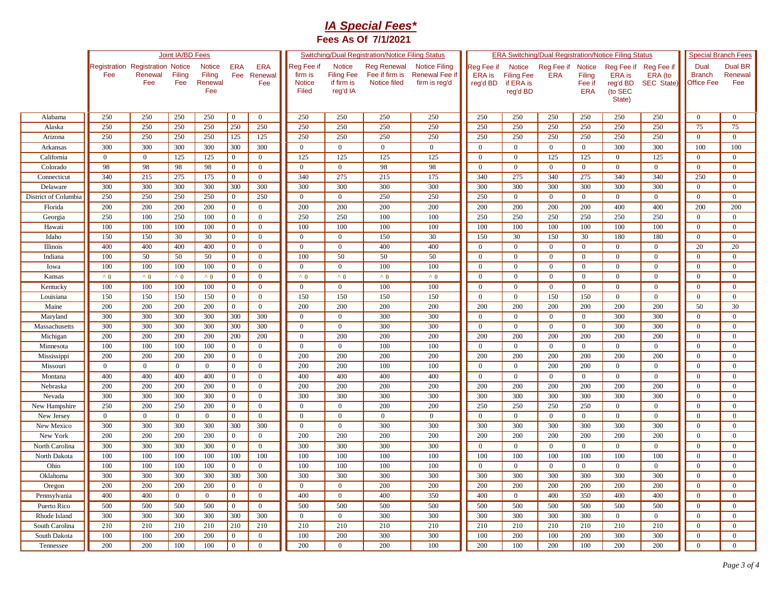## *IA Special Fees\** **Fees As Of 7/1/2021**

|                      | Joint IA/BD Fees                               |                |                |                                           |                   |                              |                                          |                                                       | <b>Switching/Dual Registration/Notice Filing Status</b> |                                                                |                                         | <b>ERA Switching/Dual Registration/Notice Filing Status</b> | <b>Special Branch Fees</b> |                                                 |                                                       |                                     |                                     |                                  |
|----------------------|------------------------------------------------|----------------|----------------|-------------------------------------------|-------------------|------------------------------|------------------------------------------|-------------------------------------------------------|---------------------------------------------------------|----------------------------------------------------------------|-----------------------------------------|-------------------------------------------------------------|----------------------------|-------------------------------------------------|-------------------------------------------------------|-------------------------------------|-------------------------------------|----------------------------------|
|                      | <b>Registration Registration Notice</b><br>Fee | Renewal<br>Fee | Filing<br>Fee  | <b>Notice</b><br>Filing<br>Renewal<br>Fee | <b>ERA</b><br>Fee | <b>ERA</b><br>Renewal<br>Fee | Reg Fee if<br>firm is<br>Notice<br>Filed | Notice<br><b>Filing Fee</b><br>if firm is<br>reg'd IA | <b>Reg Renewal</b><br>Fee if firm is<br>Notice filed    | <b>Notice Filing</b><br><b>Renewal Fee if</b><br>firm is reg'd | Reg Fee if<br><b>ERA</b> is<br>reg'd BD | Notice<br><b>Filing Fee</b><br>if ERA is<br>reg'd BD        | Reg Fee if<br><b>ERA</b>   | <b>Notice</b><br>Filing<br>Fee if<br><b>ERA</b> | Reg Fee if<br>ERA is<br>reg'd BD<br>(to SEC<br>State) | Reg Fee if<br>ERA (to<br>SEC State) | Dual<br><b>Branch</b><br>Office Fee | <b>Dual BR</b><br>Renewal<br>Fee |
| Alabama              | 250                                            | 250            | 250            | 250                                       | $\overline{0}$    | $\overline{0}$               | 250                                      | 250                                                   | 250                                                     | 250                                                            | 250                                     | 250                                                         | 250                        | 250                                             | 250                                                   | 250                                 | $\overline{0}$                      | $\overline{0}$                   |
| Alaska               | 250                                            | 250            | 250            | 250                                       | 250               | 250                          | 250                                      | 250                                                   | 250                                                     | 250                                                            | 250                                     | 250                                                         | 250                        | 250                                             | 250                                                   | 250                                 | 75                                  | 75                               |
| Arizona              | 250                                            | 250            | 250            | 250                                       | 125               | 125                          | 250                                      | 250                                                   | 250                                                     | 250                                                            | 250                                     | 250                                                         | 250                        | 250                                             | 250                                                   | 250                                 | $\overline{0}$                      | $\overline{0}$                   |
| Arkansas             | 300                                            | 300            | 300            | 300                                       | 300               | 300                          | $\mathbf{0}$                             | $\mathbf{0}$                                          | $\overline{0}$                                          | $\overline{0}$                                                 | $\overline{0}$                          | $\mathbf{0}$                                                | $\overline{0}$             | $\theta$                                        | 300                                                   | 300                                 | 100                                 | 100                              |
| California           | $\mathbf{0}$                                   | $\overline{0}$ | 125            | 125                                       | $\mathbf{0}$      | $\overline{0}$               | 125                                      | 125                                                   | 125                                                     | 125                                                            | $\overline{0}$                          | $\mathbf{0}$                                                | 125                        | 125                                             | $\overline{0}$                                        | 125                                 | $\overline{0}$                      | $\overline{0}$                   |
| Colorado             | 98                                             | 98             | 98             | 98                                        | $\overline{0}$    | $\overline{0}$               | $\mathbf{0}$                             | $\overline{0}$                                        | 98                                                      | 98                                                             | $\Omega$                                | $\mathbf{0}$                                                | $\overline{0}$             | $\mathbf{0}$                                    | $\overline{0}$                                        | $\overline{0}$                      | $\theta$                            | $\overline{0}$                   |
| Connecticut          | 340                                            | 215            | 275            | 175                                       | $\mathbf{0}$      | $\overline{0}$               | 340                                      | 275                                                   | 215                                                     | 175                                                            | 340                                     | 275                                                         | 340                        | 275                                             | 340                                                   | 340                                 | 250                                 | $\mathbf{0}$                     |
| Delaware             | 300                                            | 300            | 300            | 300                                       | 300               | 300                          | 300                                      | 300                                                   | 300                                                     | 300                                                            | 300                                     | 300                                                         | 300                        | 300                                             | 300                                                   | 300                                 | $\overline{0}$                      | $\overline{0}$                   |
| District of Columbia | 250                                            | 250            | 250            | 250                                       | $\overline{0}$    | 250                          | $\Omega$                                 | $\mathbf{0}$                                          | 250                                                     | 250                                                            | 250                                     | $\mathbf{0}$                                                | $\Omega$                   | $\Omega$                                        | $\Omega$                                              | $\overline{0}$                      | $\Omega$                            | $\overline{0}$                   |
| Florida              | 200                                            | 200            | 200            | 200                                       | $\mathbf{0}$      | $\Omega$                     | 200                                      | 200                                                   | 200                                                     | 200                                                            | 200                                     | 200                                                         | 200                        | 200                                             | 400                                                   | 400                                 | 200                                 | 200                              |
| Georgia              | 250                                            | 100            | 250            | 100                                       | $\mathbf{0}$      | $\overline{0}$               | 250                                      | 250                                                   | 100                                                     | 100                                                            | 250                                     | 250                                                         | 250                        | 250                                             | 250                                                   | 250                                 | $\Omega$                            | $\overline{0}$                   |
| Hawaii               | 100                                            | 100            | 100            | 100                                       | $\overline{0}$    | $\overline{0}$               | 100                                      | 100                                                   | 100                                                     | 100                                                            | 100                                     | 100                                                         | 100                        | 100                                             | 100                                                   | 100                                 | $\theta$                            | $\overline{0}$                   |
| Idaho                | 150                                            | 150            | 30             | 30                                        | $\overline{0}$    | $\overline{0}$               | $\Omega$                                 | $\overline{0}$                                        | 150                                                     | 30                                                             | 150                                     | 30                                                          | 150                        | 30                                              | 180                                                   | 180                                 | $\Omega$                            | $\overline{0}$                   |
| Illinois             | 400                                            | 400            | 400            | 400                                       | $\overline{0}$    | $\overline{0}$               | $\theta$                                 | $\overline{0}$                                        | 400                                                     | 400                                                            | $\Omega$                                | $\overline{0}$                                              | $\Omega$                   | $\Omega$                                        | $\Omega$                                              | $\overline{0}$                      | 20                                  | 20                               |
| Indiana              | 100                                            | 50             | 50             | 50                                        | $\mathbf{0}$      | $\mathbf{0}$                 | 100                                      | 50                                                    | 50                                                      | 50                                                             | $\Omega$                                | $\mathbf{0}$                                                | $\overline{0}$             | $\mathbf{0}$                                    | $\mathbf{0}$                                          | $\mathbf{0}$                        | $\Omega$                            | $\overline{0}$                   |
| Iowa                 | 100                                            | 100            | 100            | 100                                       | $\mathbf{0}$      | $\overline{0}$               | $\theta$                                 | $\mathbf{0}$                                          | 100                                                     | 100                                                            | $\mathbf{0}$                            | $\mathbf{0}$                                                | $\overline{0}$             | $\overline{0}$                                  | $\overline{0}$                                        | $\overline{0}$                      | $\overline{0}$                      | $\overline{0}$                   |
| Kansas               | $^{\wedge}$ 0                                  | $^{\wedge}$ 0  | $^{\wedge}0$   | $^{\wedge}$ 0                             | $\overline{0}$    | $\overline{0}$               | $^{\wedge}$ 0                            | $^{\wedge}$ 0                                         | $^{\wedge}$ 0                                           | $^{\wedge}$ 0                                                  | $\overline{0}$                          | $\mathbf{0}$                                                | $\overline{0}$             | $\mathbf{0}$                                    | $\mathbf{0}$                                          | $\overline{0}$                      | $\overline{0}$                      | $\overline{0}$                   |
| Kentucky             | 100                                            | 100            | 100            | 100                                       | $\mathbf{0}$      | $\overline{0}$               | $\overline{0}$                           | $\mathbf{0}$                                          | 100                                                     | 100                                                            | $\overline{0}$                          | $\overline{0}$                                              | $\mathbf{0}$               | $\overline{0}$                                  | $\overline{0}$                                        | $\mathbf{0}$                        | $\overline{0}$                      | $\overline{0}$                   |
| Louisiana            | 150                                            | 150            | 150            | 150                                       | $\overline{0}$    | $\overline{0}$               | 150                                      | 150                                                   | 150                                                     | 150                                                            | $\overline{0}$                          | $\overline{0}$                                              | 150                        | 150                                             | $\overline{0}$                                        | $\overline{0}$                      | $\overline{0}$                      | $\overline{0}$                   |
| Maine                | 200                                            | 200            | 200            | 200                                       | $\mathbf{0}$      | $\overline{0}$               | 200                                      | 200                                                   | 200                                                     | 200                                                            | 200                                     | 200                                                         | 200                        | 200                                             | 200                                                   | 200                                 | 50                                  | 30                               |
| Maryland             | 300                                            | 300            | 300            | 300                                       | 300               | 300                          | $\mathbf{0}$                             | $\mathbf{0}$                                          | 300                                                     | 300                                                            | $\overline{0}$                          | $\mathbf{0}$                                                | $\overline{0}$             | $\theta$                                        | 300                                                   | 300                                 | $\overline{0}$                      | $\mathbf{0}$                     |
| Massachusetts        | 300                                            | 300            | 300            | 300                                       | 300               | 300                          | $\overline{0}$                           | $\mathbf{0}$                                          | 300                                                     | 300                                                            | $\overline{0}$                          | $\overline{0}$                                              | $\mathbf{0}$               | $\overline{0}$                                  | 300                                                   | 300                                 | $\overline{0}$                      | $\mathbf{0}$                     |
|                      | 200                                            | 200            | 200            |                                           | 200               | 200                          |                                          | 200                                                   | 200                                                     | 200                                                            | 200                                     | 200                                                         | 200                        | 200                                             | 200                                                   | 200                                 | $\Omega$                            | $\mathbf{0}$                     |
| Michigan             |                                                |                |                | 200                                       |                   |                              | $\overline{0}$<br>$\Omega$               |                                                       |                                                         |                                                                | $\Omega$                                |                                                             | $\Omega$                   | $\Omega$                                        | $\theta$                                              |                                     | $\Omega$                            |                                  |
| Minnesota            | 100                                            | 100            | 100            | 100                                       | $\mathbf{0}$      | $\mathbf{0}$                 |                                          | $\mathbf{0}$                                          | 100                                                     | 100                                                            |                                         | $\overline{0}$                                              |                            |                                                 |                                                       | $\mathbf{0}$                        |                                     | $\mathbf{0}$                     |
| Mississippi          | 200                                            | 200            | 200            | 200                                       | $\mathbf{0}$      | $\overline{0}$               | 200<br>200                               | 200<br>200                                            | 200                                                     | 200                                                            | 200                                     | 200                                                         | 200                        | 200                                             | 200                                                   | 200                                 | $\Omega$                            | $\mathbf{0}$                     |
| Missouri             | $\overline{0}$                                 | $\overline{0}$ | $\overline{0}$ | $\overline{0}$                            | $\overline{0}$    | $\overline{0}$               |                                          |                                                       | 100                                                     | 100                                                            | $\overline{0}$                          | $\overline{0}$                                              | 200                        | 200                                             | $\mathbf{0}$                                          | $\overline{0}$                      | $\overline{0}$                      | $\overline{0}$                   |
| Montana              | 400                                            | 400            | 400            | 400                                       | $\mathbf{0}$      | $\overline{0}$               | 400                                      | 400                                                   | 400                                                     | 400                                                            | $\Omega$                                | $\mathbf{0}$                                                | $\overline{0}$             | $\overline{0}$                                  | $\mathbf{0}$                                          | $\overline{0}$                      | $\overline{0}$                      | $\mathbf{0}$                     |
| Nebraska             | 200                                            | 200            | 200            | 200                                       | $\mathbf{0}$      | $\mathbf{0}$                 | 200                                      | 200                                                   | 200                                                     | 200                                                            | 200                                     | 200                                                         | 200                        | 200                                             | 200                                                   | 200                                 | $\mathbf{0}$                        | $\overline{0}$                   |
| Nevada               | 300                                            | 300            | 300            | 300                                       | $\mathbf{0}$      | $\overline{0}$               | 300                                      | 300                                                   | 300                                                     | 300                                                            | 300                                     | 300                                                         | 300                        | 300                                             | 300                                                   | 300                                 | $\overline{0}$                      | $\overline{0}$                   |
| New Hampshire        | 250                                            | 200            | 250            | 200                                       | $\mathbf{0}$      | $\overline{0}$               | $\overline{0}$                           | $\mathbf{0}$                                          | 200                                                     | 200                                                            | 250                                     | 250                                                         | 250                        | 250                                             | $\overline{0}$                                        | $\overline{0}$                      | $\overline{0}$                      | $\mathbf{0}$                     |
| New Jersey           | $\overline{0}$                                 | $\overline{0}$ | $\overline{0}$ | $\overline{0}$                            | $\mathbf{0}$      | $\overline{0}$               | $\mathbf{0}$                             | $\mathbf{0}$                                          | $\overline{0}$                                          | $\overline{0}$                                                 | $\overline{0}$                          | $\overline{0}$                                              | $\overline{0}$             | $\overline{0}$                                  | $\overline{0}$                                        | $\overline{0}$                      | $\overline{0}$                      | $\overline{0}$                   |
| New Mexico           | 300                                            | 300            | 300            | 300                                       | 300               | 300                          | $\overline{0}$                           | $\boldsymbol{0}$                                      | 300                                                     | 300                                                            | 300                                     | 300                                                         | 300                        | 300                                             | 300                                                   | 300                                 | $\overline{0}$                      | $\overline{0}$                   |
| New York             | 200                                            | 200            | 200            | 200                                       | $\mathbf{0}$      | $\overline{0}$               | 200                                      | 200                                                   | 200                                                     | 200                                                            | 200                                     | 200                                                         | 200                        | 200                                             | 200                                                   | 200                                 | $\mathbf{0}$                        | $\overline{0}$                   |
| North Carolina       | 300                                            | 300            | 300            | 300                                       | $\mathbf{0}$      | $\overline{0}$               | 300                                      | 300                                                   | 300                                                     | 300                                                            | $\overline{0}$                          | $\overline{0}$                                              | $\overline{0}$             | $\mathbf{0}$                                    | $\overline{0}$                                        | $\overline{0}$                      | $\overline{0}$                      | $\overline{0}$                   |
| North Dakota         | 100                                            | 100            | 100            | 100                                       | 100               | 100                          | 100                                      | 100                                                   | 100                                                     | 100                                                            | 100                                     | 100                                                         | 100                        | 100                                             | 100                                                   | 100                                 | $\overline{0}$                      | $\overline{0}$                   |
| Ohio                 | 100                                            | 100            | 100            | 100                                       | $\overline{0}$    | $\overline{0}$               | 100                                      | 100                                                   | 100                                                     | 100                                                            | $\Omega$                                | $\overline{0}$                                              | $\overline{0}$             | $\overline{0}$                                  | $\overline{0}$                                        | $\overline{0}$                      | $\overline{0}$                      | $\overline{0}$                   |
| Oklahoma             | 300                                            | 300            | 300            | 300                                       | 300               | 300                          | 300                                      | 300                                                   | 300                                                     | $\overline{300}$                                               | 300                                     | $\overline{300}$                                            | 300                        | 300                                             | 300                                                   | 300                                 | $\theta$                            | $\overline{0}$                   |
| Oregon               | 200                                            | 200            | 200            | 200                                       | $\mathbf{0}$      | $\overline{0}$               | $\mathbf{0}$                             | $\mathbf{0}$                                          | 200                                                     | 200                                                            | 200                                     | 200                                                         | 200                        | 200                                             | 200                                                   | 200                                 | $\Omega$                            | $\overline{0}$                   |
| Pennsylvania         | 400                                            | 400            | $\overline{0}$ | $\overline{0}$                            | $\mathbf{0}$      | $\overline{0}$               | 400                                      | $\mathbf{0}$                                          | 400                                                     | 350                                                            | 400                                     | $\mathbf{0}$                                                | 400                        | 350                                             | 400                                                   | 400                                 | $\theta$                            | $\overline{0}$                   |
| Puerto Rico          | 500                                            | 500            | 500            | 500                                       | $\overline{0}$    | $\overline{0}$               | 500                                      | 500                                                   | 500                                                     | 500                                                            | 500                                     | 500                                                         | 500                        | 500                                             | 500                                                   | 500                                 | $\Omega$                            | $\overline{0}$                   |
| Rhode Island         | 300                                            | 300            | 300            | 300                                       | 300               | 300                          | $\Omega$                                 | $\overline{0}$                                        | 300                                                     | 300                                                            | 300                                     | 300                                                         | 300                        | 300                                             | $\mathbf{0}$                                          | $\overline{0}$                      | $\Omega$                            | $\overline{0}$                   |
| South Carolina       | 210                                            | 210            | 210            | 210                                       | 210               | 210                          | 210                                      | 210                                                   | 210                                                     | 210                                                            | 210                                     | 210                                                         | 210                        | 210                                             | 210                                                   | 210                                 | $\Omega$                            | $\theta$                         |
| South Dakota         | 100                                            | 100            | 200            | 200                                       | $\mathbf{0}$      | $\mathbf{0}$                 | 100                                      | 200                                                   | 300                                                     | 300                                                            | 100                                     | 200                                                         | 100                        | 200                                             | 300                                                   | 300                                 | $\theta$                            | $\overline{0}$                   |
| Tennessee            | 200                                            | 200            | 100            | 100                                       | $\mathbf{0}$      | $\overline{0}$               | 200                                      | $\overline{0}$                                        | 200                                                     | 100                                                            | 200                                     | 100                                                         | 200                        | 100                                             | 200                                                   | 200                                 | $\overline{0}$                      | $\overline{0}$                   |